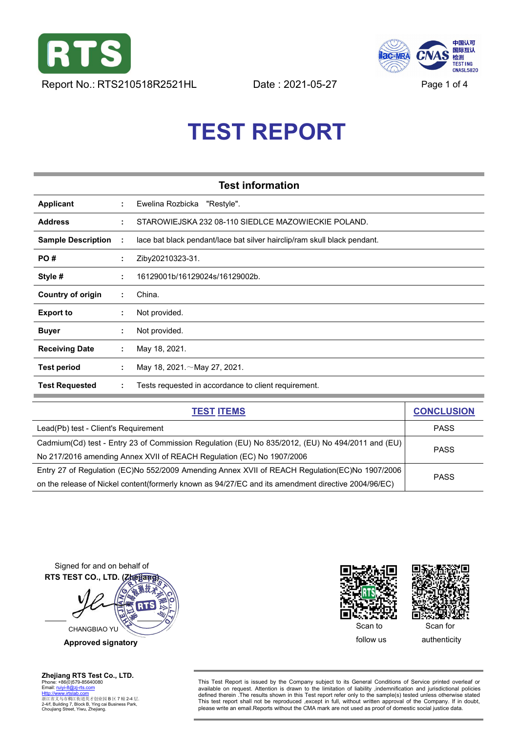<span id="page-0-0"></span>



# **TEST REPORT**

|                           |    | <b>Test information</b>                                                  |
|---------------------------|----|--------------------------------------------------------------------------|
| Applicant                 | ÷. | Ewelina Rozbicka<br>"Restyle".                                           |
| <b>Address</b>            | ÷. | STAROWIEJSKA 232 08-110 SIEDLCE MAZOWIECKIE POLAND.                      |
| <b>Sample Description</b> | ÷  | lace bat black pendant/lace bat silver hairclip/ram skull black pendant. |
| PO#                       | ÷. | Ziby20210323-31.                                                         |
| Style #                   | ÷. | 16129001b/16129024s/16129002b.                                           |
| <b>Country of origin</b>  | ÷  | China.                                                                   |
| <b>Export to</b>          | ÷  | Not provided.                                                            |
| <b>Buyer</b>              | ÷  | Not provided.                                                            |
| <b>Receiving Date</b>     | ÷  | May 18, 2021.                                                            |
| Test period               | ÷  | May 18, 2021. $\sim$ May 27, 2021.                                       |
| <b>Test Requested</b>     | ÷  | Tests requested in accordance to client requirement.                     |

| <b>TEST ITEMS</b>                                                                                   | <b>CONCLUSION</b> |  |
|-----------------------------------------------------------------------------------------------------|-------------------|--|
| Lead(Pb) test - Client's Requirement                                                                | <b>PASS</b>       |  |
| Cadmium(Cd) test - Entry 23 of Commission Regulation (EU) No 835/2012, (EU) No 494/2011 and (EU)    | <b>PASS</b>       |  |
| No 217/2016 amending Annex XVII of REACH Regulation (EC) No 1907/2006                               |                   |  |
| Entry 27 of Regulation (EC)No 552/2009 Amending Annex XVII of REACH Regulation(EC)No 1907/2006      | <b>PASS</b>       |  |
| on the release of Nickel content(formerly known as 94/27/EC and its amendment directive 2004/96/EC) |                   |  |

Signed for and on behalf of **RTS TEST CO., LTD. (Zhejiang) RTS** CHANGBIAO YU

**Approved signatory**





Phone: +86(0)579-85640080<br>
Ethis Test Report is issued by the Company subject to its General Conditions of Service printed overleaf or<br>
Http://www.intalab.com<br>
Http://www.intalab.com<br>
Http://www.intalab.com<br>
Http://www.i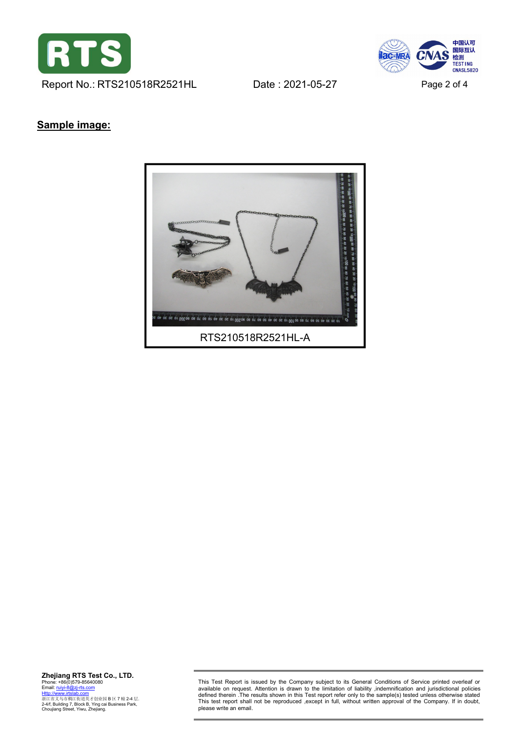

中国认可<br>国际互认 CNA **ac-MRA** 检测<br>TEST ING **CNASL5820** 

## **Sample image:**



This Test Report is issued by the Company subject to its General Conditions of Service printed overleaf or available on request. Attention is drawn to the limitation of liability ,indemnification and jurisdictional policie This test report shall not be reproduced ,except in full, without written approval of the Company. If in doubt,<br>please write an email.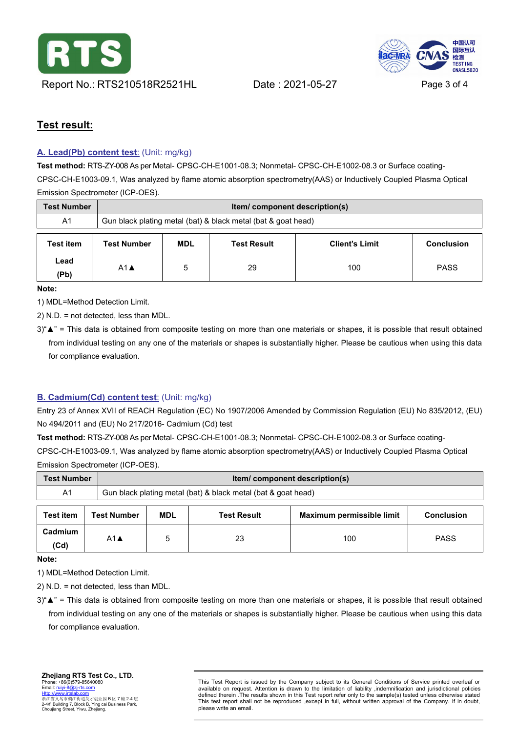

中国认可 国际互认 检测 TEST ING **CNASL5820** 

# **Test result:**

### <span id="page-2-0"></span>**A. [Lead\(Pb\)](#page-0-0) content test**: (Unit: mg/kg)

**Test method:** RTS-ZY-008 As per Metal- CPSC-CH-E1001-08.3; Nonmetal- CPSC-CH-E1002-08.3 or Surface coating- CPSC-CH-E1003-09.1, Was analyzed by flame atomic absorption spectrometry(AAS) or Inductively Coupled Plasma Optical Emission Spectrometer (ICP-OES).

| <b>Test Number</b> | <b>Item/</b> component description(s)                         |            |                    |                       |                   |
|--------------------|---------------------------------------------------------------|------------|--------------------|-----------------------|-------------------|
| A <sub>1</sub>     | Gun black plating metal (bat) & black metal (bat & goat head) |            |                    |                       |                   |
| <b>Test item</b>   | <b>Test Number</b>                                            | <b>MDL</b> | <b>Test Result</b> | <b>Client's Limit</b> | <b>Conclusion</b> |
| Lead<br>(Pb)       | $A1$ $\triangle$                                              |            | 29                 | 100                   | <b>PASS</b>       |

**Note:**

1) MDL=Method Detection Limit.

2) N.D. = not detected, less than MDL.

3)"▲" = This data isobtained from composite testing on more than one materials or shapes, it is possible that result obtained from individual testing on any one of the materials or shapes is substantially higher. Please be cautious when using this data for compliance evaluation.

### <span id="page-2-1"></span>**B. [Cadmium\(Cd\)](#page-0-0) content test**: (Unit: mg/kg)

Entry 23 of Annex XVII of REACH Regulation (EC) No 1907/2006 Amended by Commission Regulation (EU) No 835/2012, (EU) No 494/2011 and (EU) No 217/2016- Cadmium (Cd) test

**Test method:** RTS-ZY-008 As per Metal- CPSC-CH-E1001-08.3; Nonmetal- CPSC-CH-E1002-08.3 or Surface coating- CPSC-CH-E1003-09.1, Was analyzed by flame atomic absorption spectrometry(AAS) or Inductively Coupled Plasma Optical Emission Spectrometer (ICP-OES).

| <b>Test Number</b> |                    | Item/component description(s)                                 |                    |                           |                   |  |
|--------------------|--------------------|---------------------------------------------------------------|--------------------|---------------------------|-------------------|--|
| A <sub>1</sub>     |                    | Gun black plating metal (bat) & black metal (bat & goat head) |                    |                           |                   |  |
| <b>Test item</b>   | <b>Test Number</b> | MDL                                                           | <b>Test Result</b> | Maximum permissible limit | <b>Conclusion</b> |  |
| Cadmium<br>(Cd)    | $A1$ $\triangle$   |                                                               | 23                 | 100                       | <b>PASS</b>       |  |

**Note:**

1) MDL=Method Detection Limit.

2) N.D. = not detected, less than MDL.

3)" A" = This data is obtained from composite testing on more than one materials or shapes, it is possible that result obtained from individual testing on any one of the materials or shapes is substantially higher. Please be cautious when using this data for compliance evaluation.

This Test Report is issued by the Company subject to its General Conditions of Service printed overleaf or available on request. Attention is drawn to the limitation of liability , indemnification and jurisdictional polici This test report shall not be reproduced ,except in full, without written approval of the Company. If in doubt, please write an email.